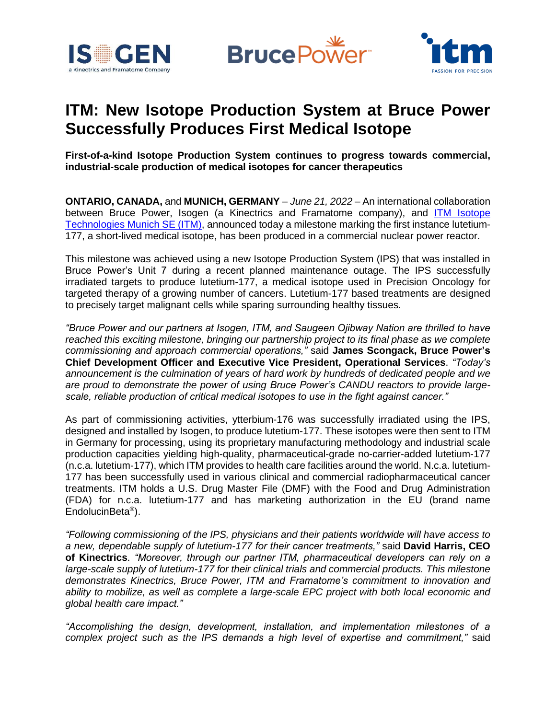





# **ITM: New Isotope Production System at Bruce Power Successfully Produces First Medical Isotope**

**First-of-a-kind Isotope Production System continues to progress towards commercial, industrial-scale production of medical isotopes for cancer therapeutics**

**ONTARIO, CANADA,** and **MUNICH, GERMANY** – *June 21, 2022* – An international collaboration between Bruce Power, Isogen (a Kinectrics and Framatome company), and ITM Isotope [Technologies Munich SE \(ITM\),](https://itm-radiopharma.com/home) announced today a milestone marking the first instance lutetium-177, a short-lived medical isotope, has been produced in a commercial nuclear power reactor.

This milestone was achieved using a new Isotope Production System (IPS) that was installed in Bruce Power's Unit 7 during a recent planned maintenance outage. The IPS successfully irradiated targets to produce lutetium-177, a medical isotope used in Precision Oncology for targeted therapy of a growing number of cancers. Lutetium-177 based treatments are designed to precisely target malignant cells while sparing surrounding healthy tissues.

*"Bruce Power and our partners at Isogen, ITM, and Saugeen Ojibway Nation are thrilled to have reached this exciting milestone, bringing our partnership project to its final phase as we complete commissioning and approach commercial operations,"* said **James Scongack, Bruce Power's Chief Development Officer and Executive Vice President, Operational Services**. *"Today's announcement is the culmination of years of hard work by hundreds of dedicated people and we are proud to demonstrate the power of using Bruce Power's CANDU reactors to provide largescale, reliable production of critical medical isotopes to use in the fight against cancer."*

As part of commissioning activities, ytterbium-176 was successfully irradiated using the IPS, designed and installed by Isogen, to produce lutetium-177. These isotopes were then sent to ITM in Germany for processing, using its proprietary manufacturing methodology and industrial scale production capacities yielding high-quality, pharmaceutical-grade no-carrier-added lutetium-177 (n.c.a. lutetium-177), which ITM provides to health care facilities around the world. N.c.a. lutetium-177 has been successfully used in various clinical and commercial radiopharmaceutical cancer treatments. ITM holds a U.S. Drug Master File (DMF) with the Food and Drug Administration (FDA) for n.c.a. lutetium-177 and has marketing authorization in the EU (brand name EndolucinBeta® ).

*"Following commissioning of the IPS, physicians and their patients worldwide will have access to a new, dependable supply of lutetium-177 for their cancer treatments,"* said **David Harris, CEO of Kinectrics**. *"Moreover, through our partner ITM, pharmaceutical developers can rely on a large-scale supply of lutetium-177 for their clinical trials and commercial products. This milestone demonstrates Kinectrics, Bruce Power, ITM and Framatome's commitment to innovation and ability to mobilize, as well as complete a large-scale EPC project with both local economic and global health care impact."*

*"Accomplishing the design, development, installation, and implementation milestones of a complex project such as the IPS demands a high level of expertise and commitment,"* said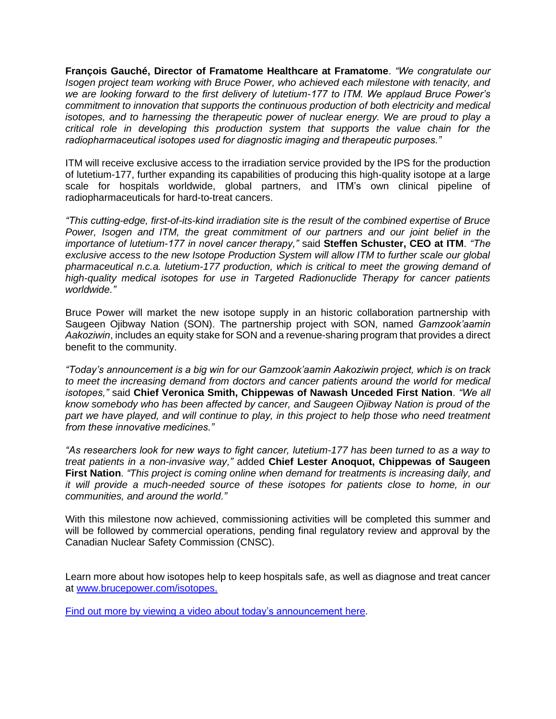**François Gauché, Director of Framatome Healthcare at Framatome**. *"We congratulate our Isogen project team working with Bruce Power, who achieved each milestone with tenacity, and we are looking forward to the first delivery of lutetium-177 to ITM. We applaud Bruce Power's commitment to innovation that supports the continuous production of both electricity and medical isotopes, and to harnessing the therapeutic power of nuclear energy. We are proud to play a critical role in developing this production system that supports the value chain for the radiopharmaceutical isotopes used for diagnostic imaging and therapeutic purposes."*

ITM will receive exclusive access to the irradiation service provided by the IPS for the production of lutetium-177, further expanding its capabilities of producing this high-quality isotope at a large scale for hospitals worldwide, global partners, and ITM's own clinical pipeline of radiopharmaceuticals for hard-to-treat cancers.

*"This cutting-edge, first-of-its-kind irradiation site is the result of the combined expertise of Bruce Power, Isogen and ITM, the great commitment of our partners and our joint belief in the importance of lutetium-177 in novel cancer therapy,"* said **Steffen Schuster, CEO at ITM**. *"The exclusive access to the new Isotope Production System will allow ITM to further scale our global pharmaceutical n.c.a. lutetium-177 production, which is critical to meet the growing demand of high-quality medical isotopes for use in Targeted Radionuclide Therapy for cancer patients worldwide."*

Bruce Power will market the new isotope supply in an historic collaboration partnership with Saugeen Ojibway Nation (SON). The partnership project with SON, named *Gamzook'aamin Aakoziwin*, includes an equity stake for SON and a revenue-sharing program that provides a direct benefit to the community.

*"Today's announcement is a big win for our Gamzook'aamin Aakoziwin project, which is on track to meet the increasing demand from doctors and cancer patients around the world for medical isotopes,"* said **Chief Veronica Smith, Chippewas of Nawash Unceded First Nation**. *"We all know somebody who has been affected by cancer, and Saugeen Ojibway Nation is proud of the part we have played, and will continue to play, in this project to help those who need treatment from these innovative medicines."*

*"As researchers look for new ways to fight cancer, lutetium-177 has been turned to as a way to treat patients in a non-invasive way,"* added **Chief Lester Anoquot, Chippewas of Saugeen First Nation**. *"This project is coming online when demand for treatments is increasing daily, and it will provide a much-needed source of these isotopes for patients close to home, in our communities, and around the world."*

With this milestone now achieved, commissioning activities will be completed this summer and will be followed by commercial operations, pending final regulatory review and approval by the Canadian Nuclear Safety Commission (CNSC).

Learn more about how isotopes help to keep hospitals safe, as well as diagnose and treat cancer at [www.brucepower.com/isotopes.](http://www.brucepower.com/isotopes)

Find out more by viewing a video [about today's announcement here.](https://youtu.be/_ApMeksDCSQ)